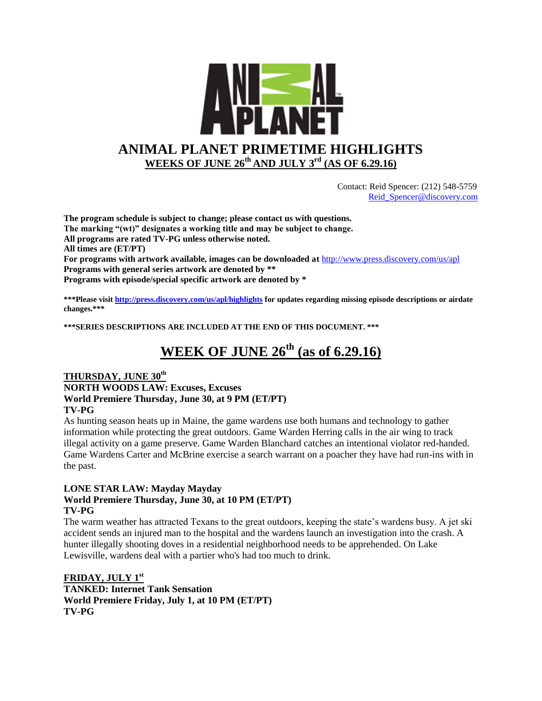

 Contact: Reid Spencer: (212) 548-5759 [Reid\\_Spencer@discovery.com](mailto:Reid_Spencer@discovery.com)

**The program schedule is subject to change; please contact us with questions. The marking "(wt)" designates a working title and may be subject to change. All programs are rated TV-PG unless otherwise noted. All times are (ET/PT) For programs with artwork available, images can be downloaded at** <http://www.press.discovery.com/us/apl> **Programs with general series artwork are denoted by \*\* Programs with episode/special specific artwork are denoted by \***

**\*\*\*Please visit<http://press.discovery.com/us/apl/highlights> for updates regarding missing episode descriptions or airdate changes.\*\*\***

**\*\*\*SERIES DESCRIPTIONS ARE INCLUDED AT THE END OF THIS DOCUMENT. \*\*\***

# **WEEK OF JUNE 26th (as of 6.29.16)**

#### **THURSDAY, JUNE 30th NORTH WOODS LAW: Excuses, Excuses World Premiere Thursday, June 30, at 9 PM (ET/PT) TV-PG**

As hunting season heats up in Maine, the game wardens use both humans and technology to gather information while protecting the great outdoors. Game Warden Herring calls in the air wing to track illegal activity on a game preserve. Game Warden Blanchard catches an intentional violator red-handed. Game Wardens Carter and McBrine exercise a search warrant on a poacher they have had run-ins with in the past.

#### **LONE STAR LAW: Mayday Mayday World Premiere Thursday, June 30, at 10 PM (ET/PT) TV-PG**

The warm weather has attracted Texans to the great outdoors, keeping the state's wardens busy. A jet ski accident sends an injured man to the hospital and the wardens launch an investigation into the crash. A hunter illegally shooting doves in a residential neighborhood needs to be apprehended. On Lake Lewisville, wardens deal with a partier who's had too much to drink.

**FRIDAY, JULY 1st TANKED: Internet Tank Sensation World Premiere Friday, July 1, at 10 PM (ET/PT) TV-PG**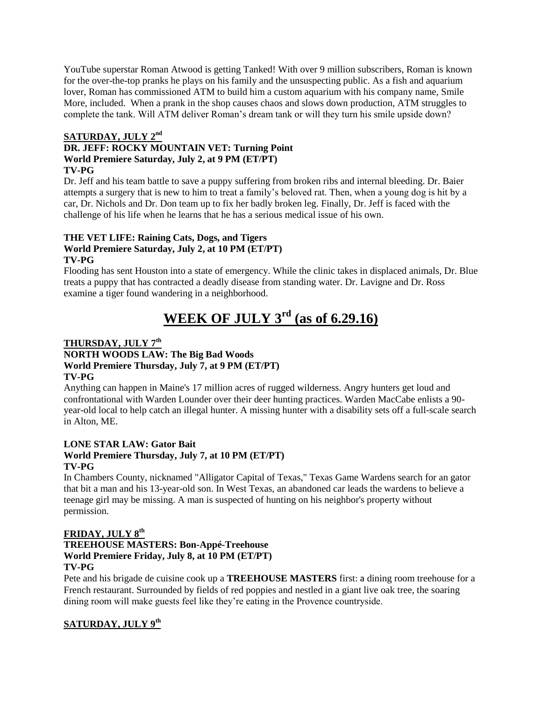YouTube superstar Roman Atwood is getting Tanked! With over 9 million subscribers, Roman is known for the over-the-top pranks he plays on his family and the unsuspecting public. As a fish and aquarium lover, Roman has commissioned ATM to build him a custom aquarium with his company name, Smile More, included. When a prank in the shop causes chaos and slows down production, ATM struggles to complete the tank. Will ATM deliver Roman's dream tank or will they turn his smile upside down?

#### **SATURDAY, JULY 2nd DR. JEFF: ROCKY MOUNTAIN VET: Turning Point World Premiere Saturday, July 2, at 9 PM (ET/PT) TV-PG**

Dr. Jeff and his team battle to save a puppy suffering from broken ribs and internal bleeding. Dr. Baier attempts a surgery that is new to him to treat a family's beloved rat. Then, when a young dog is hit by a car, Dr. Nichols and Dr. Don team up to fix her badly broken leg. Finally, Dr. Jeff is faced with the challenge of his life when he learns that he has a serious medical issue of his own.

#### **THE VET LIFE: Raining Cats, Dogs, and Tigers World Premiere Saturday, July 2, at 10 PM (ET/PT) TV-PG**

Flooding has sent Houston into a state of emergency. While the clinic takes in displaced animals, Dr. Blue treats a puppy that has contracted a deadly disease from standing water. Dr. Lavigne and Dr. Ross examine a tiger found wandering in a neighborhood.

# **WEEK OF JULY 3rd (as of 6.29.16)**

## **THURSDAY, JULY 7th**

#### **NORTH WOODS LAW: The Big Bad Woods World Premiere Thursday, July 7, at 9 PM (ET/PT) TV-PG**

Anything can happen in Maine's 17 million acres of rugged wilderness. Angry hunters get loud and confrontational with Warden Lounder over their deer hunting practices. Warden MacCabe enlists a 90 year-old local to help catch an illegal hunter. A missing hunter with a disability sets off a full-scale search in Alton, ME.

#### **LONE STAR LAW: Gator Bait**

#### **World Premiere Thursday, July 7, at 10 PM (ET/PT) TV-PG**

In Chambers County, nicknamed "Alligator Capital of Texas," Texas Game Wardens search for an gator that bit a man and his 13-year-old son. In West Texas, an abandoned car leads the wardens to believe a teenage girl may be missing. A man is suspected of hunting on his neighbor's property without permission.

#### **FRIDAY, JULY 8th**

#### **TREEHOUSE MASTERS: Bon-Appé-Treehouse World Premiere Friday, July 8, at 10 PM (ET/PT) TV-PG**

Pete and his brigade de cuisine cook up a **TREEHOUSE MASTERS** first: a dining room treehouse for a French restaurant. Surrounded by fields of red poppies and nestled in a giant live oak tree, the soaring dining room will make guests feel like they're eating in the Provence countryside.

### **SATURDAY, JULY 9th**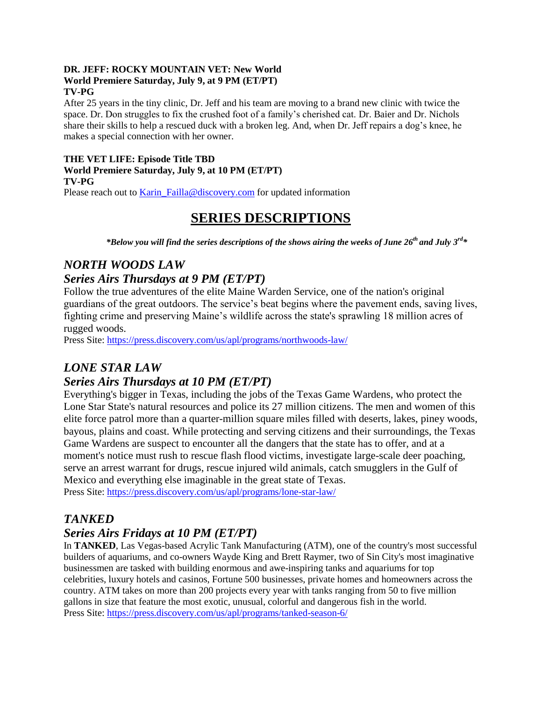#### **DR. JEFF: ROCKY MOUNTAIN VET: New World World Premiere Saturday, July 9, at 9 PM (ET/PT) TV-PG**

After 25 years in the tiny clinic, Dr. Jeff and his team are moving to a brand new clinic with twice the space. Dr. Don struggles to fix the crushed foot of a family's cherished cat. Dr. Baier and Dr. Nichols share their skills to help a rescued duck with a broken leg. And, when Dr. Jeff repairs a dog's knee, he makes a special connection with her owner.

#### **THE VET LIFE: Episode Title TBD World Premiere Saturday, July 9, at 10 PM (ET/PT) TV-PG**

Please reach out to [Karin\\_Failla@discovery.com](mailto:Karin_Failla@discovery.com) for updated information

## **SERIES DESCRIPTIONS**

*\*Below you will find the series descriptions of the shows airing the weeks of June 26th and July 3rd\**

### *NORTH WOODS LAW*

### *Series Airs Thursdays at 9 PM (ET/PT)*

Follow the true adventures of the elite Maine Warden Service, one of the nation's original guardians of the great outdoors. The service's beat begins where the pavement ends, saving lives, fighting crime and preserving Maine's wildlife across the state's sprawling 18 million acres of rugged woods.

Press Site: <https://press.discovery.com/us/apl/programs/northwoods-law/>

### *LONE STAR LAW*

### *Series Airs Thursdays at 10 PM (ET/PT)*

Everything's bigger in Texas, including the jobs of the Texas Game Wardens, who protect the Lone Star State's natural resources and police its 27 million citizens. The men and women of this elite force patrol more than a quarter-million square miles filled with deserts, lakes, piney woods, bayous, plains and coast. While protecting and serving citizens and their surroundings, the Texas Game Wardens are suspect to encounter all the dangers that the state has to offer, and at a moment's notice must rush to rescue flash flood victims, investigate large-scale deer poaching, serve an arrest warrant for drugs, rescue injured wild animals, catch smugglers in the Gulf of Mexico and everything else imaginable in the great state of Texas.

Press Site: <https://press.discovery.com/us/apl/programs/lone-star-law/>

### *TANKED*

### *Series Airs Fridays at 10 PM (ET/PT)*

In **TANKED**, Las Vegas-based Acrylic Tank Manufacturing (ATM), one of the country's most successful builders of aquariums, and co-owners Wayde King and Brett Raymer, two of Sin City's most imaginative businessmen are tasked with building enormous and awe-inspiring tanks and aquariums for top celebrities, luxury hotels and casinos, Fortune 500 businesses, private homes and homeowners across the country. ATM takes on more than 200 projects every year with tanks ranging from 50 to five million gallons in size that feature the most exotic, unusual, colorful and dangerous fish in the world. Press Site:<https://press.discovery.com/us/apl/programs/tanked-season-6/>